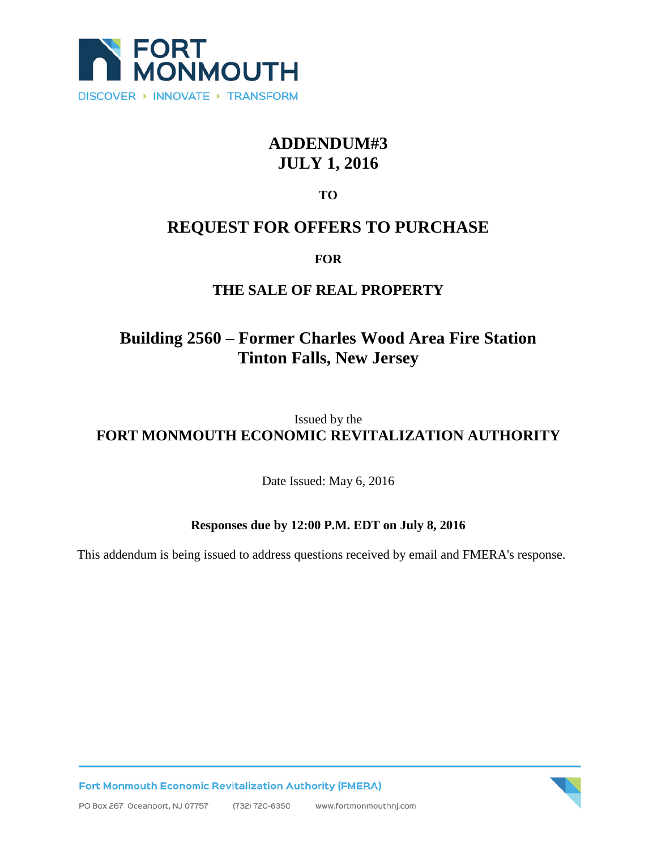

# **ADDENDUM#3 JULY 1, 2016**

**TO**

## **REQUEST FOR OFFERS TO PURCHASE**

#### **FOR**

### **THE SALE OF REAL PROPERTY**

# **Building 2560 – Former Charles Wood Area Fire Station Tinton Falls, New Jersey**

### Issued by the **FORT MONMOUTH ECONOMIC REVITALIZATION AUTHORITY**

Date Issued: May 6, 2016

#### **Responses due by 12:00 P.M. EDT on July 8, 2016**

This addendum is being issued to address questions received by email and FMERA's response.



**Fort Monmouth Economic Revitalization Authority (FMERA)**